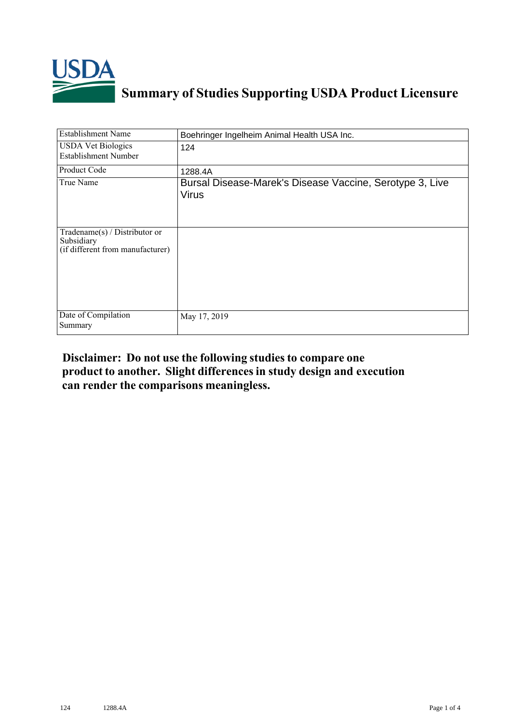

## **Summary of Studies Supporting USDA Product Licensure**

| <b>Establishment Name</b>                                                         | Boehringer Ingelheim Animal Health USA Inc.                              |
|-----------------------------------------------------------------------------------|--------------------------------------------------------------------------|
| <b>USDA Vet Biologics</b><br><b>Establishment Number</b>                          | 124                                                                      |
| Product Code                                                                      | 1288.4A                                                                  |
| True Name                                                                         | Bursal Disease-Marek's Disease Vaccine, Serotype 3, Live<br><b>Virus</b> |
| $Tradename(s) / Distributor$ or<br>Subsidiary<br>(if different from manufacturer) |                                                                          |
| Date of Compilation<br>Summary                                                    | May 17, 2019                                                             |

## **Disclaimer: Do not use the following studiesto compare one product to another. Slight differencesin study design and execution can render the comparisons meaningless.**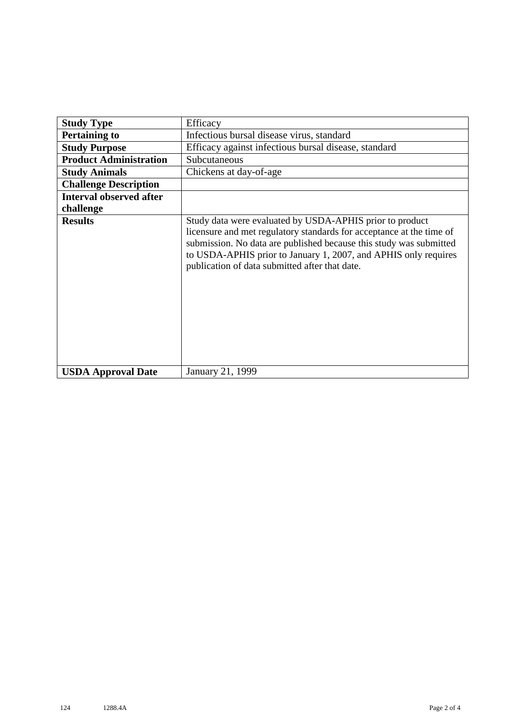| <b>Study Type</b>              | Efficacy                                                                                                                                                                                                                                                                                                                    |
|--------------------------------|-----------------------------------------------------------------------------------------------------------------------------------------------------------------------------------------------------------------------------------------------------------------------------------------------------------------------------|
| <b>Pertaining to</b>           | Infectious bursal disease virus, standard                                                                                                                                                                                                                                                                                   |
| <b>Study Purpose</b>           | Efficacy against infectious bursal disease, standard                                                                                                                                                                                                                                                                        |
| <b>Product Administration</b>  | Subcutaneous                                                                                                                                                                                                                                                                                                                |
| <b>Study Animals</b>           | Chickens at day-of-age                                                                                                                                                                                                                                                                                                      |
| <b>Challenge Description</b>   |                                                                                                                                                                                                                                                                                                                             |
| <b>Interval observed after</b> |                                                                                                                                                                                                                                                                                                                             |
| challenge                      |                                                                                                                                                                                                                                                                                                                             |
| <b>Results</b>                 | Study data were evaluated by USDA-APHIS prior to product<br>licensure and met regulatory standards for acceptance at the time of<br>submission. No data are published because this study was submitted<br>to USDA-APHIS prior to January 1, 2007, and APHIS only requires<br>publication of data submitted after that date. |
| <b>USDA Approval Date</b>      | January 21, 1999                                                                                                                                                                                                                                                                                                            |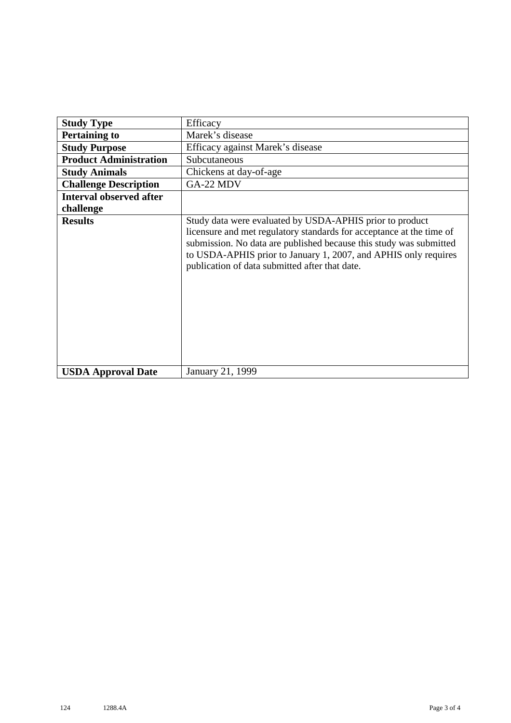| <b>Study Type</b>              | Efficacy                                                                                                                                                                                                                                                                                                                    |
|--------------------------------|-----------------------------------------------------------------------------------------------------------------------------------------------------------------------------------------------------------------------------------------------------------------------------------------------------------------------------|
| <b>Pertaining to</b>           | Marek's disease                                                                                                                                                                                                                                                                                                             |
| <b>Study Purpose</b>           | Efficacy against Marek's disease                                                                                                                                                                                                                                                                                            |
| <b>Product Administration</b>  | Subcutaneous                                                                                                                                                                                                                                                                                                                |
| <b>Study Animals</b>           | Chickens at day-of-age                                                                                                                                                                                                                                                                                                      |
| <b>Challenge Description</b>   | GA-22 MDV                                                                                                                                                                                                                                                                                                                   |
| <b>Interval observed after</b> |                                                                                                                                                                                                                                                                                                                             |
| challenge                      |                                                                                                                                                                                                                                                                                                                             |
| <b>Results</b>                 | Study data were evaluated by USDA-APHIS prior to product<br>licensure and met regulatory standards for acceptance at the time of<br>submission. No data are published because this study was submitted<br>to USDA-APHIS prior to January 1, 2007, and APHIS only requires<br>publication of data submitted after that date. |
| <b>USDA Approval Date</b>      | January 21, 1999                                                                                                                                                                                                                                                                                                            |